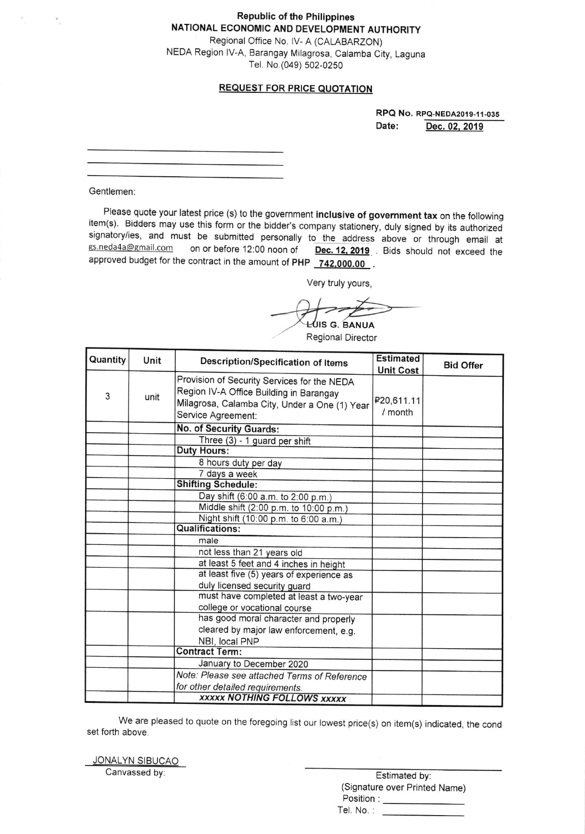**Republic of the Philippines** NATIONAL ECONOMIC AND DEVELOPMENT AUTHORITY Regional Office No. IV- A (CALABARZON) NEDA Region IV-A, Barangay Milagrosa, Calamba City, Laguna Tel. No.(049) 502-0250

#### REQUEST FOR PRICE QUOTATION

RPQ No. RPQ-NEoA2o19-11-035 Date: Dec.02. <sup>2019</sup>

Gentlemen:

 $\mathcal{F}_{\phantom{i}\pm}$ 

Please quote your latest price (s) to the government inclusive of government tax on the following item(s). Bidders may use this form or the bidder's company stationery, duly signed by its authorized signatory/ies, and m ust be submitted personally to the address above or through email at gs.neda4a@gmail.com on or before 12:00 noon of Dec. 12, 2019 Bids should not exceed the approved budget for the contract in the amount of PHP 742,000.00.

Very truly yours,

UIS G. BANUA

Regional Director

| Quantity | Unit | Description/Specification of Items                                                                                                                            | <b>Estimated</b><br><b>Unit Cost</b> | <b>Bid Offer</b> |
|----------|------|---------------------------------------------------------------------------------------------------------------------------------------------------------------|--------------------------------------|------------------|
| 3        | unit | Provision of Security Services for the NEDA<br>Region IV-A Office Building in Barangay<br>Milagrosa, Calamba City, Under a One (1) Year<br>Service Agreement: | P20,611.11<br>/ month                |                  |
|          |      | No. of Security Guards:                                                                                                                                       |                                      |                  |
|          |      | Three (3) - 1 guard per shift                                                                                                                                 |                                      |                  |
|          |      | <b>Duty Hours:</b>                                                                                                                                            |                                      |                  |
|          |      | 8 hours duty per day                                                                                                                                          |                                      |                  |
|          |      | 7 days a week                                                                                                                                                 |                                      |                  |
|          |      | <b>Shifting Schedule:</b>                                                                                                                                     |                                      |                  |
|          |      | Day shift (6:00 a.m. to 2:00 p.m.)                                                                                                                            |                                      |                  |
|          |      | Middle shift (2:00 p.m. to 10:00 p.m.)                                                                                                                        |                                      |                  |
|          |      | Night shift (10:00 p.m. to 6:00 a.m.)                                                                                                                         |                                      |                  |
|          |      | <b>Qualifications:</b>                                                                                                                                        |                                      |                  |
|          |      | male                                                                                                                                                          |                                      |                  |
|          |      | not less than 21 years old                                                                                                                                    |                                      |                  |
|          |      | at least 5 feet and 4 inches in height                                                                                                                        |                                      |                  |
|          |      | at least five (5) years of experience as                                                                                                                      |                                      |                  |
|          |      | duly licensed security guard                                                                                                                                  |                                      |                  |
|          |      | must have completed at least a two-year                                                                                                                       |                                      |                  |
|          |      | college or vocational course                                                                                                                                  |                                      |                  |
|          |      | has good moral character and properly                                                                                                                         |                                      |                  |
|          |      | cleared by major law enforcement, e.g.                                                                                                                        |                                      |                  |
|          |      | NBI, local PNP                                                                                                                                                |                                      |                  |
|          |      | <b>Contract Term:</b>                                                                                                                                         |                                      |                  |
|          |      | January to December 2020                                                                                                                                      |                                      |                  |
|          |      | Note: Please see attached Terms of Reference                                                                                                                  |                                      |                  |
|          |      | for other detailed requirements.                                                                                                                              |                                      |                  |
|          |      | <b>XXXXX NOTHING FOLLOWS XXXXX</b>                                                                                                                            |                                      |                  |

We are pleased to quote on the foregoing list our lowest price(s) on item(s) indicated, the cond set forth above

<u>JONALYN SIBUCAO</u> Canvassed by

| Estimated by:                 |  |
|-------------------------------|--|
| (Signature over Printed Name) |  |
| Position :                    |  |
| Tel. No.:                     |  |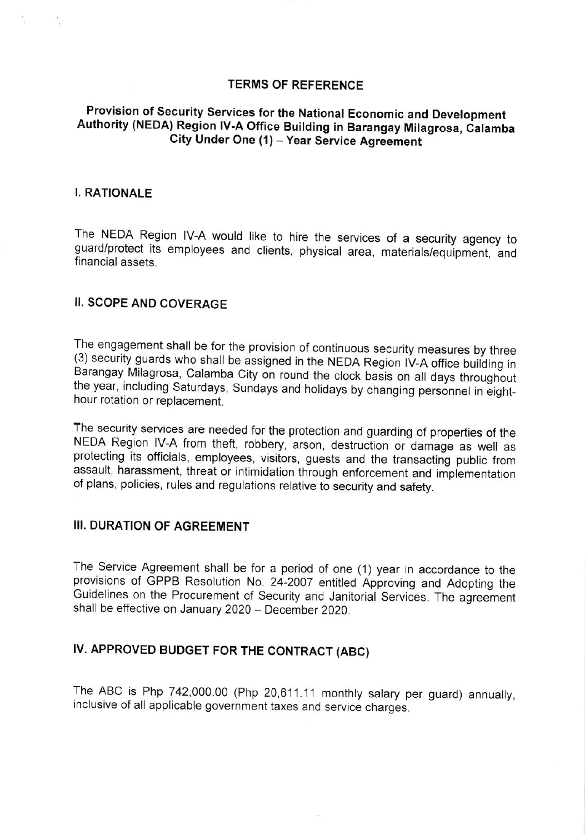#### TERMS OF REFERENCE

## The Nettern of Source, Schools for the National Economic and Development<br>Authority (NEDA) Region IV-A Office Building in Barangay Milagrosa, Calamba Provision of Security Services for the National Economic and Development Research of the Bunding in Barangay Milagon.<br>City Under One (1) – Year Service Agreement

#### I. RATIONALE

The NEDA Region IV-A would like to hire the services of a security agency to<br>guard/protect its employees and clients, physical area, materials/equipment, and y to financial assets.

#### II. SCOPE AND COVERAGE

The engagement shall be for the provision of continuous security measures by three<br>(3) security guards who shall be assigned in the NEDA Region IV-A office building in Barangay Milagrosa, Calamba City on round the clock basis on all days throughout the year, including Saturdays, Sundays and holidays by changing personnel in eight- hour rotation or replacement.

The security services are needed for the protection and guarding of properties of the<br>NEDA Region IV-A from theft, robbery, arson, destruction or damage as well as protecting its officials, employees, visitors, guests and the transacting public from assault, harassment, threat or intimidation through enforcement and implementation of plans, policies, rules and regulations relative to security and safety.

#### III. DURATION OF AGREEMENT

The Service Agreement shall be for a period of one (1) year in accordance to the provisions of GPPB Resolution No. 24-2007 entifled Approving and Adopting the Guidelines on the Procurement of Security and Janitorial Services. The agreement shall be effective on January 2020 - December 2020.

## IV. APPROVED BUDGET FOR THE CONTRACT (ABC)

The ABC is Php 742,000.00 (Php 20,611.11 monthly salary per guard) annually, inclusive of all applicable government taxes and service charges.